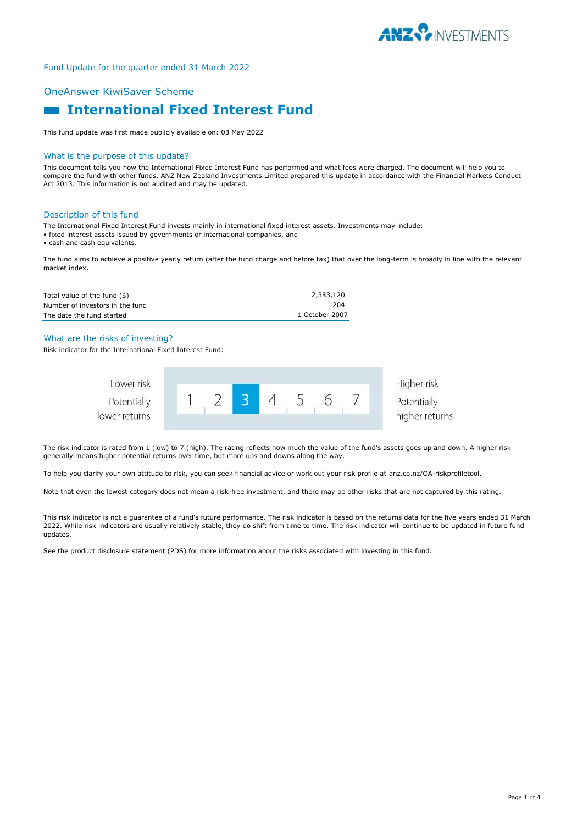

# OneAnswer KiwiSaver Scheme

# **International Fixed Interest Fund**

This fund update was first made publicly available on: 03 May 2022

#### What is the purpose of this update?

This document tells you how the International Fixed Interest Fund has performed and what fees were charged. The document will help you to compare the fund with other funds. ANZ New Zealand Investments Limited prepared this update in accordance with the Financial Markets Conduct Act 2013. This information is not audited and may be updated.

#### Description of this fund

The International Fixed Interest Fund invests mainly in international fixed interest assets. Investments may include:

- fixed interest assets issued by governments or international companies, and
- cash and cash equivalents.

The fund aims to achieve a positive yearly return (after the fund charge and before tax) that over the long-term is broadly in line with the relevant market index.

| Total value of the fund (\$)    | 2,383,120      |
|---------------------------------|----------------|
| Number of investors in the fund | 204            |
| The date the fund started       | 1 October 2007 |

# What are the risks of investing?

Risk indicator for the International Fixed Interest Fund:



The risk indicator is rated from 1 (low) to 7 (high). The rating reflects how much the value of the fund's assets goes up and down. A higher risk generally means higher potential returns over time, but more ups and downs along the way.

To help you clarify your own attitude to risk, you can seek financial advice or work out your risk profile at anz.co.nz/OA-riskprofiletool.

Note that even the lowest category does not mean a risk-free investment, and there may be other risks that are not captured by this rating.

This risk indicator is not a guarantee of a fund's future performance. The risk indicator is based on the returns data for the five years ended 31 March 2022. While risk indicators are usually relatively stable, they do shift from time to time. The risk indicator will continue to be updated in future fund updates.

See the product disclosure statement (PDS) for more information about the risks associated with investing in this fund.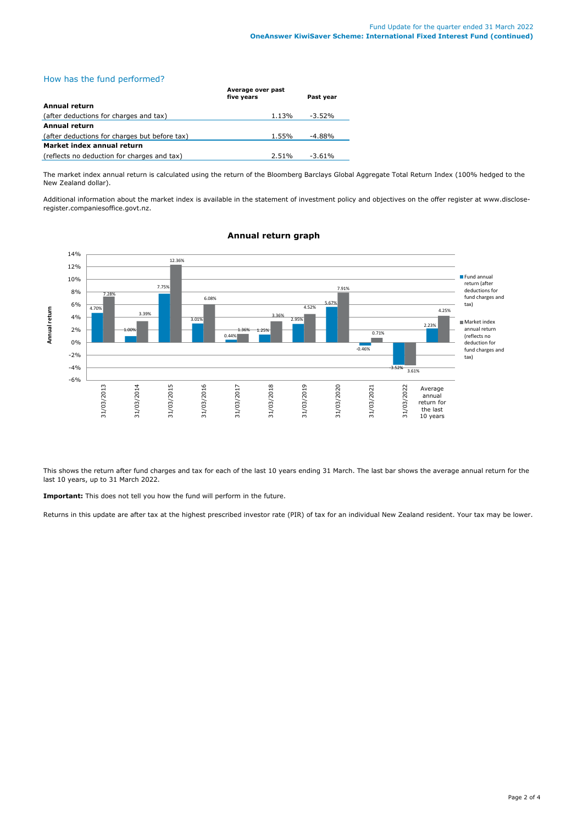How has the fund performed?

|                                               | Average over past<br>five years | Past year |
|-----------------------------------------------|---------------------------------|-----------|
| Annual return                                 |                                 |           |
| (after deductions for charges and tax)        | 1.13%                           | $-3.52\%$ |
| Annual return                                 |                                 |           |
| (after deductions for charges but before tax) | 1.55%                           | $-4.88%$  |
| Market index annual return                    |                                 |           |
| (reflects no deduction for charges and tax)   | 2.51%                           | $-3.61\%$ |

The market index annual return is calculated using the return of the Bloomberg Barclays Global Aggregate Total Return Index (100% hedged to the New Zealand dollar).

Additional information about the market index is available in the statement of investment policy and objectives on the offer register at www.discloseregister.companiesoffice.govt.nz.



# **Annual return graph**

This shows the return after fund charges and tax for each of the last 10 years ending 31 March. The last bar shows the average annual return for the last 10 years, up to 31 March 2022.

**Important:** This does not tell you how the fund will perform in the future.

Returns in this update are after tax at the highest prescribed investor rate (PIR) of tax for an individual New Zealand resident. Your tax may be lower.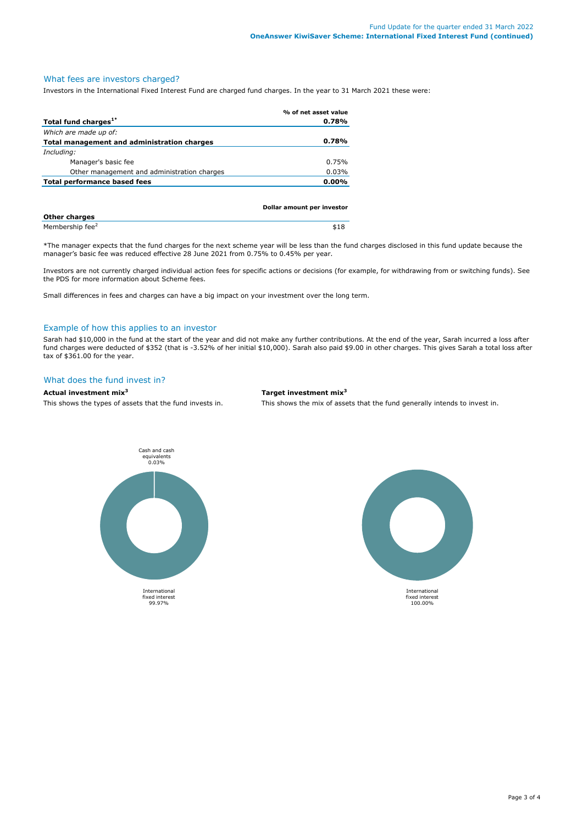# What fees are investors charged?

Investors in the International Fixed Interest Fund are charged fund charges. In the year to 31 March 2021 these were:

|                                             | % of net asset value |
|---------------------------------------------|----------------------|
| Total fund charges <sup>1*</sup>            | 0.78%                |
| Which are made up of:                       |                      |
| Total management and administration charges | 0.78%                |
| Including:                                  |                      |
| Manager's basic fee                         | 0.75%                |
| Other management and administration charges | 0.03%                |
| Total performance based fees                | $0.00\%$             |
|                                             |                      |
|                                             |                      |

|                             | Dollar amount per investor |
|-----------------------------|----------------------------|
| Other charges               |                            |
| Membership fee <sup>2</sup> | \$18                       |

\*The manager expects that the fund charges for the next scheme year will be less than the fund charges disclosed in this fund update because the manager's basic fee was reduced effective 28 June 2021 from 0.75% to 0.45% per year.

Investors are not currently charged individual action fees for specific actions or decisions (for example, for withdrawing from or switching funds). See the PDS for more information about Scheme fees.

Small differences in fees and charges can have a big impact on your investment over the long term.

#### Example of how this applies to an investor

Sarah had \$10,000 in the fund at the start of the year and did not make any further contributions. At the end of the year, Sarah incurred a loss after fund charges were deducted of \$352 (that is -3.52% of her initial \$10,000). Sarah also paid \$9.00 in other charges. This gives Sarah a total loss after tax of \$361.00 for the year.

#### What does the fund invest in?

**Actual investment mix<sup>3</sup> Target investment mix<sup>3</sup>**

This shows the types of assets that the fund invests in. This shows the mix of assets that the fund generally intends to invest in.